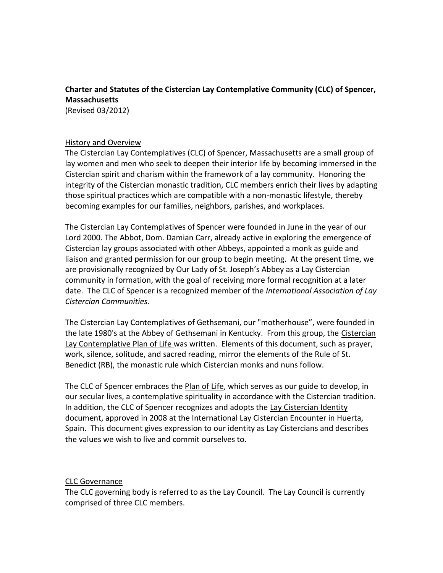# **Charter and Statutes of the Cistercian Lay Contemplative Community (CLC) of Spencer, Massachusetts**

(Revised 03/2012)

#### History and Overview

The Cistercian Lay Contemplatives (CLC) of Spencer, Massachusetts are a small group of lay women and men who seek to deepen their interior life by becoming immersed in the Cistercian spirit and charism within the framework of a lay community. Honoring the integrity of the Cistercian monastic tradition, CLC members enrich their lives by adapting those spiritual practices which are compatible with a non-monastic lifestyle, thereby becoming examples for our families, neighbors, parishes, and workplaces.

The Cistercian Lay Contemplatives of Spencer were founded in June in the year of our Lord 2000. The Abbot, Dom. Damian Carr, already active in exploring the emergence of Cistercian lay groups associated with other Abbeys, appointed a monk as guide and liaison and granted permission for our group to begin meeting. At the present time, we are provisionally recognized by Our Lady of St. Joseph's Abbey as a Lay Cistercian community in formation, with the goal of receiving more formal recognition at a later date. The CLC of Spencer is a recognized member of the *International Association of Lay Cistercian Communities.*

The Cistercian Lay Contemplatives of Gethsemani, our "motherhouse", were founded in the late 1980's at the Abbey of Gethsemani in Kentucky. From this group, the Cistercian Lay Contemplative Plan of Life was written. Elements of this document, such as prayer, work, silence, solitude, and sacred reading, mirror the elements of the Rule of St. Benedict (RB), the monastic rule which Cistercian monks and nuns follow.

The CLC of Spencer embraces the Plan of Life, which serves as our guide to develop, in our secular lives, a contemplative spirituality in accordance with the Cistercian tradition. In addition, the CLC of Spencer recognizes and adopts the Lay Cistercian Identity document, approved in 2008 at the International Lay Cistercian Encounter in Huerta, Spain. This document gives expression to our identity as Lay Cistercians and describes the values we wish to live and commit ourselves to.

#### CLC Governance

The CLC governing body is referred to as the Lay Council. The Lay Council is currently comprised of three CLC members.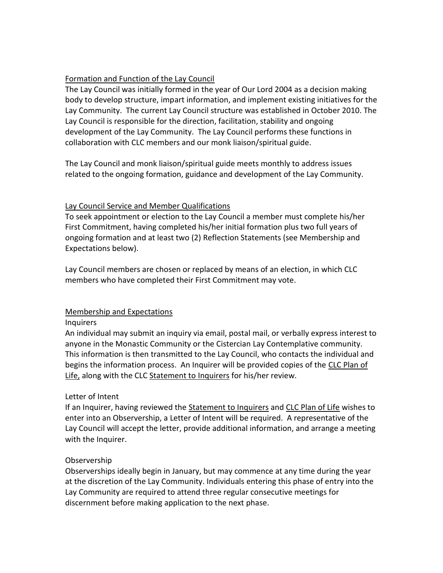#### Formation and Function of the Lay Council

The Lay Council was initially formed in the year of Our Lord 2004 as a decision making body to develop structure, impart information, and implement existing initiatives for the Lay Community. The current Lay Council structure was established in October 2010. The Lay Council is responsible for the direction, facilitation, stability and ongoing development of the Lay Community. The Lay Council performs these functions in collaboration with CLC members and our monk liaison/spiritual guide.

The Lay Council and monk liaison/spiritual guide meets monthly to address issues related to the ongoing formation, guidance and development of the Lay Community.

#### Lay Council Service and Member Qualifications

To seek appointment or election to the Lay Council a member must complete his/her First Commitment, having completed his/her initial formation plus two full years of ongoing formation and at least two (2) Reflection Statements (see Membership and Expectations below).

Lay Council members are chosen or replaced by means of an election, in which CLC members who have completed their First Commitment may vote.

### Membership and Expectations

#### Inquirers

An individual may submit an inquiry via email, postal mail, or verbally express interest to anyone in the Monastic Community or the Cistercian Lay Contemplative community. This information is then transmitted to the Lay Council, who contacts the individual and begins the information process. An Inquirer will be provided copies of the CLC Plan of Life, along with the CLC Statement to Inquirers for his/her review.

#### Letter of Intent

If an Inquirer, having reviewed the Statement to Inquirers and CLC Plan of Life wishes to enter into an Observership, a Letter of Intent will be required. A representative of the Lay Council will accept the letter, provide additional information, and arrange a meeting with the Inquirer.

#### Observership

Observerships ideally begin in January, but may commence at any time during the year at the discretion of the Lay Community. Individuals entering this phase of entry into the Lay Community are required to attend three regular consecutive meetings for discernment before making application to the next phase.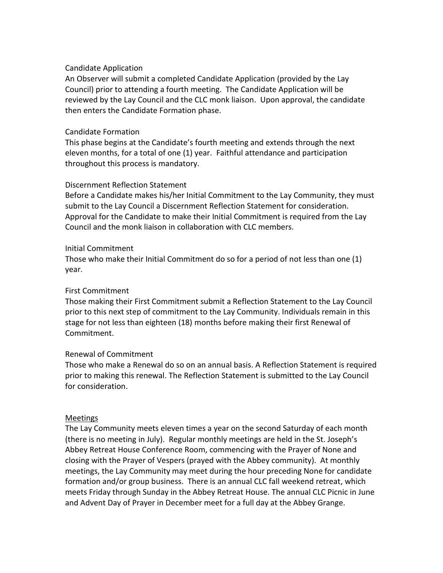#### Candidate Application

An Observer will submit a completed Candidate Application (provided by the Lay Council) prior to attending a fourth meeting. The Candidate Application will be reviewed by the Lay Council and the CLC monk liaison. Upon approval, the candidate then enters the Candidate Formation phase.

#### Candidate Formation

This phase begins at the Candidate's fourth meeting and extends through the next eleven months, for a total of one (1) year. Faithful attendance and participation throughout this process is mandatory.

#### Discernment Reflection Statement

Before a Candidate makes his/her Initial Commitment to the Lay Community, they must submit to the Lay Council a Discernment Reflection Statement for consideration. Approval for the Candidate to make their Initial Commitment is required from the Lay Council and the monk liaison in collaboration with CLC members.

#### Initial Commitment

Those who make their Initial Commitment do so for a period of not less than one (1) year.

#### First Commitment

Those making their First Commitment submit a Reflection Statement to the Lay Council prior to this next step of commitment to the Lay Community. Individuals remain in this stage for not less than eighteen (18) months before making their first Renewal of Commitment.

#### Renewal of Commitment

Those who make a Renewal do so on an annual basis. A Reflection Statement is required prior to making this renewal. The Reflection Statement is submitted to the Lay Council for consideration.

#### Meetings

The Lay Community meets eleven times a year on the second Saturday of each month (there is no meeting in July). Regular monthly meetings are held in the St. Joseph's Abbey Retreat House Conference Room, commencing with the Prayer of None and closing with the Prayer of Vespers (prayed with the Abbey community). At monthly meetings, the Lay Community may meet during the hour preceding None for candidate formation and/or group business. There is an annual CLC fall weekend retreat, which meets Friday through Sunday in the Abbey Retreat House. The annual CLC Picnic in June and Advent Day of Prayer in December meet for a full day at the Abbey Grange.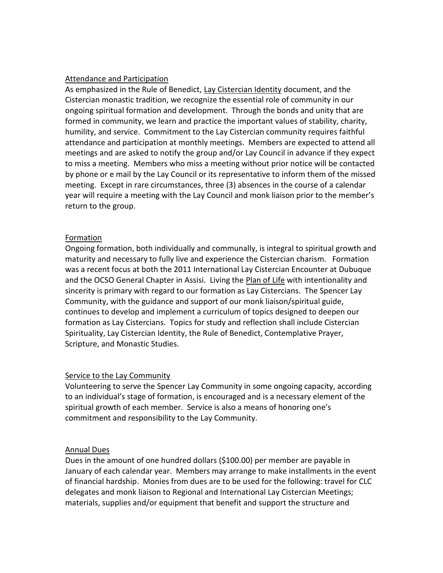#### Attendance and Participation

As emphasized in the Rule of Benedict, Lay Cistercian Identity document, and the Cistercian monastic tradition, we recognize the essential role of community in our ongoing spiritual formation and development. Through the bonds and unity that are formed in community, we learn and practice the important values of stability, charity, humility, and service. Commitment to the Lay Cistercian community requires faithful attendance and participation at monthly meetings. Members are expected to attend all meetings and are asked to notify the group and/or Lay Council in advance if they expect to miss a meeting. Members who miss a meeting without prior notice will be contacted by phone or e mail by the Lay Council or its representative to inform them of the missed meeting. Except in rare circumstances, three (3) absences in the course of a calendar year will require a meeting with the Lay Council and monk liaison prior to the member's return to the group.

### Formation

Ongoing formation, both individually and communally, is integral to spiritual growth and maturity and necessary to fully live and experience the Cistercian charism. Formation was a recent focus at both the 2011 International Lay Cistercian Encounter at Dubuque and the OCSO General Chapter in Assisi. Living the Plan of Life with intentionality and sincerity is primary with regard to our formation as Lay Cistercians. The Spencer Lay Community, with the guidance and support of our monk liaison/spiritual guide, continues to develop and implement a curriculum of topics designed to deepen our formation as Lay Cistercians. Topics for study and reflection shall include Cistercian Spirituality, Lay Cistercian Identity, the Rule of Benedict, Contemplative Prayer, Scripture, and Monastic Studies.

#### Service to the Lay Community

Volunteering to serve the Spencer Lay Community in some ongoing capacity, according to an individual's stage of formation, is encouraged and is a necessary element of the spiritual growth of each member. Service is also a means of honoring one's commitment and responsibility to the Lay Community.

#### Annual Dues

Dues in the amount of one hundred dollars (\$100.00) per member are payable in January of each calendar year. Members may arrange to make installments in the event of financial hardship. Monies from dues are to be used for the following: travel for CLC delegates and monk liaison to Regional and International Lay Cistercian Meetings; materials, supplies and/or equipment that benefit and support the structure and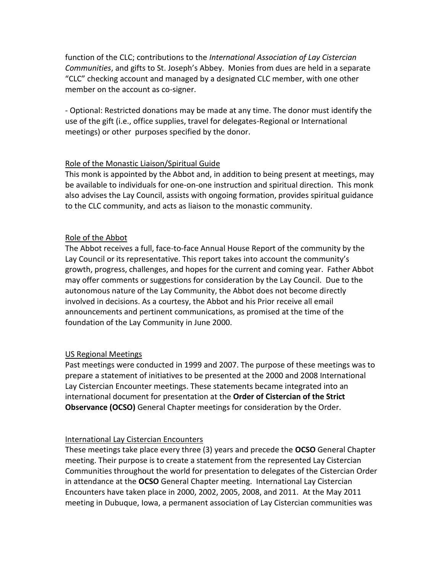function of the CLC; contributions to the *International Association of Lay Cistercian Communities*, and gifts to St. Joseph's Abbey. Monies from dues are held in a separate "CLC" checking account and managed by a designated CLC member, with one other member on the account as co-signer.

- Optional: Restricted donations may be made at any time. The donor must identify the use of the gift (i.e., office supplies, travel for delegates-Regional or International meetings) or other purposes specified by the donor.

### Role of the Monastic Liaison/Spiritual Guide

This monk is appointed by the Abbot and, in addition to being present at meetings, may be available to individuals for one-on-one instruction and spiritual direction. This monk also advises the Lay Council, assists with ongoing formation, provides spiritual guidance to the CLC community, and acts as liaison to the monastic community.

## Role of the Abbot

The Abbot receives a full, face-to-face Annual House Report of the community by the Lay Council or its representative. This report takes into account the community's growth, progress, challenges, and hopes for the current and coming year. Father Abbot may offer comments or suggestions for consideration by the Lay Council. Due to the autonomous nature of the Lay Community, the Abbot does not become directly involved in decisions. As a courtesy, the Abbot and his Prior receive all email announcements and pertinent communications, as promised at the time of the foundation of the Lay Community in June 2000.

## US Regional Meetings

Past meetings were conducted in 1999 and 2007. The purpose of these meetings was to prepare a statement of initiatives to be presented at the 2000 and 2008 International Lay Cistercian Encounter meetings. These statements became integrated into an international document for presentation at the **Order of Cistercian of the Strict Observance (OCSO)** General Chapter meetings for consideration by the Order.

## International Lay Cistercian Encounters

These meetings take place every three (3) years and precede the **OCSO** General Chapter meeting. Their purpose is to create a statement from the represented Lay Cistercian Communities throughout the world for presentation to delegates of the Cistercian Order in attendance at the **OCSO** General Chapter meeting. International Lay Cistercian Encounters have taken place in 2000, 2002, 2005, 2008, and 2011. At the May 2011 meeting in Dubuque, Iowa, a permanent association of Lay Cistercian communities was